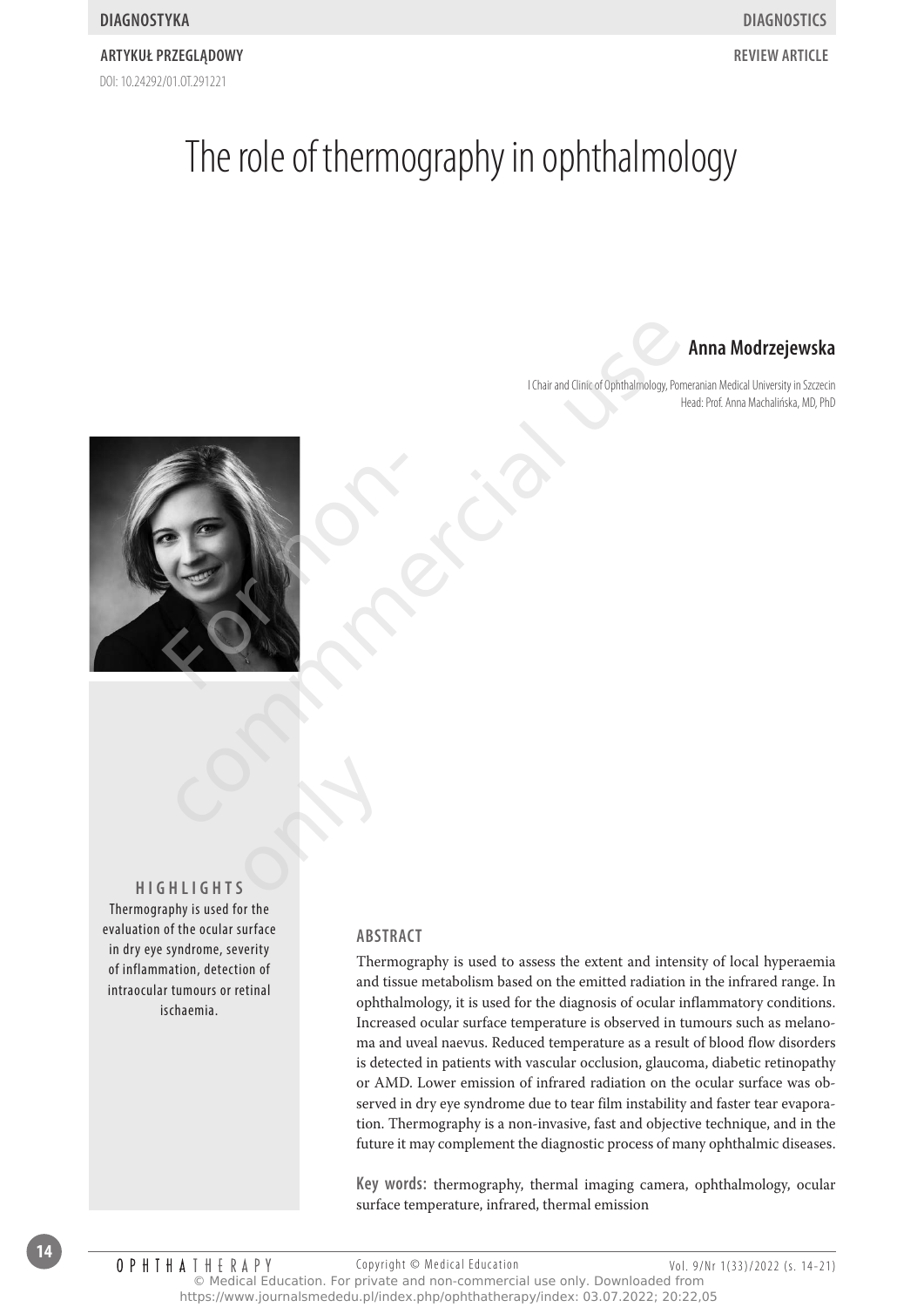#### DOI: 10.24292/01.0T.291221 **Artykuł przeglądowy review Article**

## The role of thermography in ophthalmology

### **Anna Modrzejewska**

I Chair and Clinic of Ophthalmology, Pomeranian Medical University in Szczecin Head: Prof. Anna Machalińska, MD, PhD



**HigHligHts** only

Thermography is used for the evaluation of the ocular surface in dry eye syndrome, severity of inflammation, detection of intraocular tumours or retinal ischaemia.

#### **AbstrAct**

Thermography is used to assess the extent and intensity of local hyperaemia and tissue metabolism based on the emitted radiation in the infrared range. In ophthalmology, it is used for the diagnosis of ocular inflammatory conditions. Increased ocular surface temperature is observed in tumours such as melanoma and uveal naevus. Reduced temperature as a result of blood flow disorders is detected in patients with vascular occlusion, glaucoma, diabetic retinopathy or AMD. Lower emission of infrared radiation on the ocular surface was observed in dry eye syndrome due to tear film instability and faster tear evaporation. Thermography is a non-invasive, fast and objective technique, and in the future it may complement the diagnostic process of many ophthalmic diseases.

**key words:** thermography, thermal imaging camera, ophthalmology, ocular surface temperature, infrared, thermal emission

**14**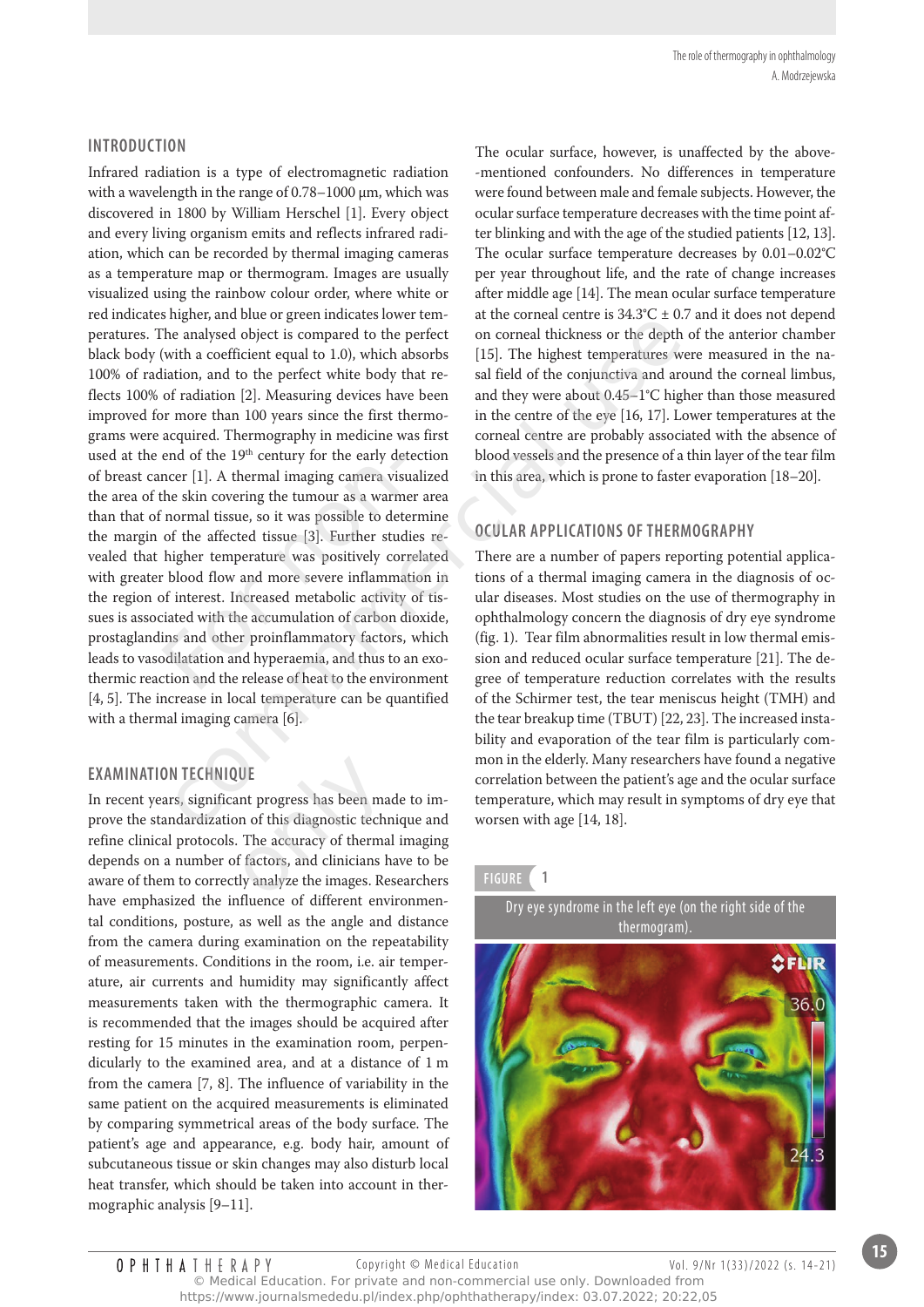#### **introduction**

Infrared radiation is a type of electromagnetic radiation with a wavelength in the range of 0.78–1000 µm, which was discovered in 1800 by William Herschel [1]. Every object and every living organism emits and reflects infrared radiation, which can be recorded by thermal imaging cameras as a temperature map or thermogram. Images are usually visualized using the rainbow colour order, where white or red indicates higher, and blue or green indicates lower temperatures. The analysed object is compared to the perfect black body (with a coefficient equal to 1.0), which absorbs 100% of radiation, and to the perfect white body that reflects 100% of radiation [2]. Measuring devices have been improved for more than 100 years since the first thermograms were acquired. Thermography in medicine was first used at the end of the 19<sup>th</sup> century for the early detection of breast cancer [1]. A thermal imaging camera visualized the area of the skin covering the tumour as a warmer area than that of normal tissue, so it was possible to determine the margin of the affected tissue [3]. Further studies revealed that higher temperature was positively correlated with greater blood flow and more severe inflammation in the region of interest. Increased metabolic activity of tissues is associated with the accumulation of carbon dioxide, prostaglandins and other proinflammatory factors, which leads to vasodilatation and hyperaemia, and thus to an exothermic reaction and the release of heat to the environment [4, 5]. The increase in local temperature can be quantified with a thermal imaging camera [6]. end of the 19<sup>th</sup> century for the early det<br>ncer [1]. A thermal imaging camera visite skin covering the tumour as a warm<br>i normal tissue, so it was possible to dete<br>of the affected tissue [3]. Further stud<br>higher temperat migner, and once of germ intunctes over term at the conneal dentity as  $\alpha$  of  $\alpha$ , and the perfect on corneal dickness or the depth of standardization and to the perfect vinterbook and  $\alpha$  of the depth of  $\alpha$  field of

#### **exAMinAtion tecHnique**

In recent years, significant progress has been made to improve the standardization of this diagnostic technique and refine clinical protocols. The accuracy of thermal imaging depends on a number of factors, and clinicians have to be aware of them to correctly analyze the images. Researchers have emphasized the influence of different environmental conditions, posture, as well as the angle and distance from the camera during examination on the repeatability of measurements. Conditions in the room, i.e. air temperature, air currents and humidity may significantly affect measurements taken with the thermographic camera. It is recommended that the images should be acquired after resting for 15 minutes in the examination room, perpendicularly to the examined area, and at a distance of 1 m from the camera [7, 8]. The influence of variability in the same patient on the acquired measurements is eliminated by comparing symmetrical areas of the body surface. The patient's age and appearance, e.g. body hair, amount of subcutaneous tissue or skin changes may also disturb local heat transfer, which should be taken into account in thermographic analysis [9–11]. UE<br>
ont progress has been ma<br>
on of this diagnostic techn<br>
The accuracy of therma<br>
of factors, and clinicians<br>
ly analyze the images. Re

The ocular surface, however, is unaffected by the above- -mentioned confounders. No differences in temperature were found between male and female subjects. However, the ocular surface temperature decreases with the time point after blinking and with the age of the studied patients [12, 13]. The ocular surface temperature decreases by 0.01–0.02°C per year throughout life, and the rate of change increases after middle age [14]. The mean ocular surface temperature at the corneal centre is  $34.3^{\circ}$ C  $\pm$  0.7 and it does not depend on corneal thickness or the depth of the anterior chamber [15]. The highest temperatures were measured in the nasal field of the conjunctiva and around the corneal limbus, and they were about 0.45–1°C higher than those measured in the centre of the eye [16, 17]. Lower temperatures at the corneal centre are probably associated with the absence of blood vessels and the presence of a thin layer of the tear film in this area, which is prone to faster evaporation [18–20].*.*

#### **oculAr ApplicAtions of tHerMogrApHy**

There are a number of papers reporting potential applications of a thermal imaging camera in the diagnosis of ocular diseases. Most studies on the use of thermography in ophthalmology concern the diagnosis of dry eye syndrome (fig. 1). Tear film abnormalities result in low thermal emission and reduced ocular surface temperature [21]. The degree of temperature reduction correlates with the results of the Schirmer test, the tear meniscus height (TMH) and the tear breakup time (TBUT) [22, 23]. The increased instability and evaporation of the tear film is particularly common in the elderly. Many researchers have found a negative correlation between the patient's age and the ocular surface temperature, which may result in symptoms of dry eye that worsen with age [14, 18].

#### **figure 1**

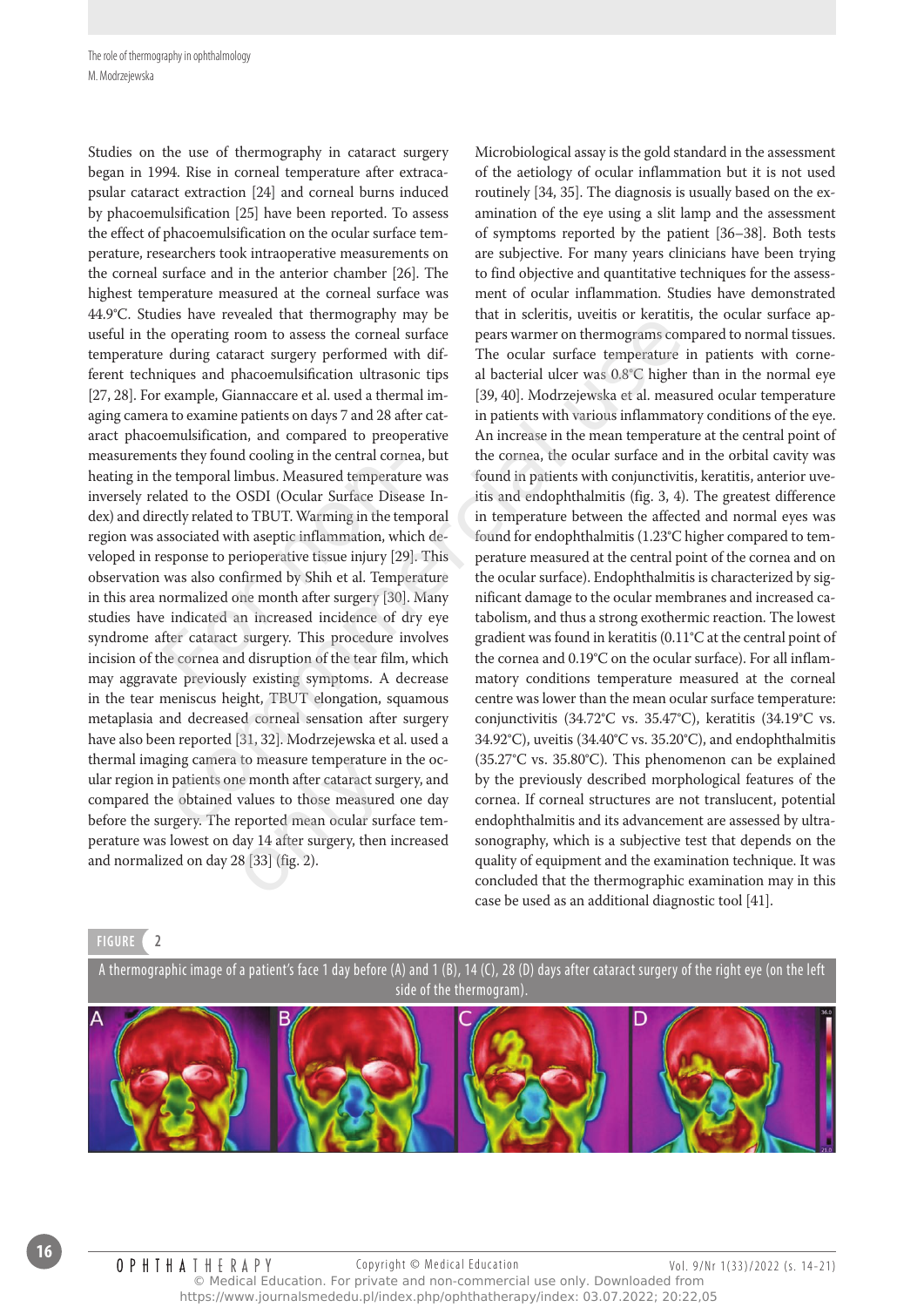Studies on the use of thermography in cataract surgery began in 1994. Rise in corneal temperature after extracapsular cataract extraction [24] and corneal burns induced by phacoemulsification [25] have been reported. To assess the effect of phacoemulsification on the ocular surface temperature, researchers took intraoperative measurements on the corneal surface and in the anterior chamber [26]. The highest temperature measured at the corneal surface was 44.9°C. Studies have revealed that thermography may be useful in the operating room to assess the corneal surface temperature during cataract surgery performed with different techniques and phacoemulsification ultrasonic tips [27, 28]. For example, Giannaccare et al. used a thermal imaging camera to examine patients on days 7 and 28 after cataract phacoemulsification, and compared to preoperative measurements they found cooling in the central cornea, but heating in the temporal limbus. Measured temperature was inversely related to the OSDI (Ocular Surface Disease Index) and directly related to TBUT. Warming in the temporal region was associated with aseptic inflammation, which developed in response to perioperative tissue injury [29]. This observation was also confirmed by Shih et al. Temperature in this area normalized one month after surgery [30]. Many studies have indicated an increased incidence of dry eye syndrome after cataract surgery. This procedure involves incision of the cornea and disruption of the tear film, which may aggravate previously existing symptoms. A decrease in the tear meniscus height, TBUT elongation, squamous metaplasia and decreased corneal sensation after surgery have also been reported [31, 32]. Modrzejewska et al. used a thermal imaging camera to measure temperature in the ocular region in patients one month after cataract surgery, and compared the obtained values to those measured one day before the surgery. The reported mean ocular surface temperature was lowest on day 14 after surgery, then increased and normalized on day 28 [33] (fig. 2). nts they found cooling in the central corn<br>ne temporal limbus. Measured temperatu<br>lated to the OSDI (Ocular Surface Disearchlated to TBUT. Warming in the ten<br>ssociated with aseptic inflammation, wh<br>esponse to perioperative So law tevetate unat uncuring than the unit substant of the measure operating room to assess the correlator and the colar surface temperature in during cataract surgery performed with dif-<br>The ocular surface temperature i to measure temperature<br>le month after cataract sure<br>values to those measure<br>reported mean ocular sure<br>lay 14 after surgery, then<br>8 [33] (fig. 2).

Microbiological assay is the gold standard in the assessment of the aetiology of ocular inflammation but it is not used routinely [34, 35]. The diagnosis is usually based on the examination of the eye using a slit lamp and the assessment of symptoms reported by the patient [36–38]. Both tests are subjective. For many years clinicians have been trying to find objective and quantitative techniques for the assessment of ocular inflammation. Studies have demonstrated that in scleritis, uveitis or keratitis, the ocular surface appears warmer on thermograms compared to normal tissues. The ocular surface temperature in patients with corneal bacterial ulcer was 0.8°C higher than in the normal eye [39, 40]. Modrzejewska et al. measured ocular temperature in patients with various inflammatory conditions of the eye. An increase in the mean temperature at the central point of the cornea, the ocular surface and in the orbital cavity was found in patients with conjunctivitis, keratitis, anterior uveitis and endophthalmitis (fig. 3, 4). The greatest difference in temperature between the affected and normal eyes was found for endophthalmitis (1.23°C higher compared to temperature measured at the central point of the cornea and on the ocular surface). Endophthalmitis is characterized by significant damage to the ocular membranes and increased catabolism, and thus a strong exothermic reaction. The lowest gradient was found in keratitis (0.11°C at the central point of the cornea and 0.19°C on the ocular surface). For all inflammatory conditions temperature measured at the corneal centre was lower than the mean ocular surface temperature: conjunctivitis (34.72°C vs. 35.47°C), keratitis (34.19°C vs. 34.92°C), uveitis (34.40°C vs. 35.20°C), and endophthalmitis (35.27°C vs. 35.80°C). This phenomenon can be explained by the previously described morphological features of the cornea. If corneal structures are not translucent, potential endophthalmitis and its advancement are assessed by ultrasonography, which is a subjective test that depends on the quality of equipment and the examination technique. It was concluded that the thermographic examination may in this case be used as an additional diagnostic tool [41].

#### **figure 2**



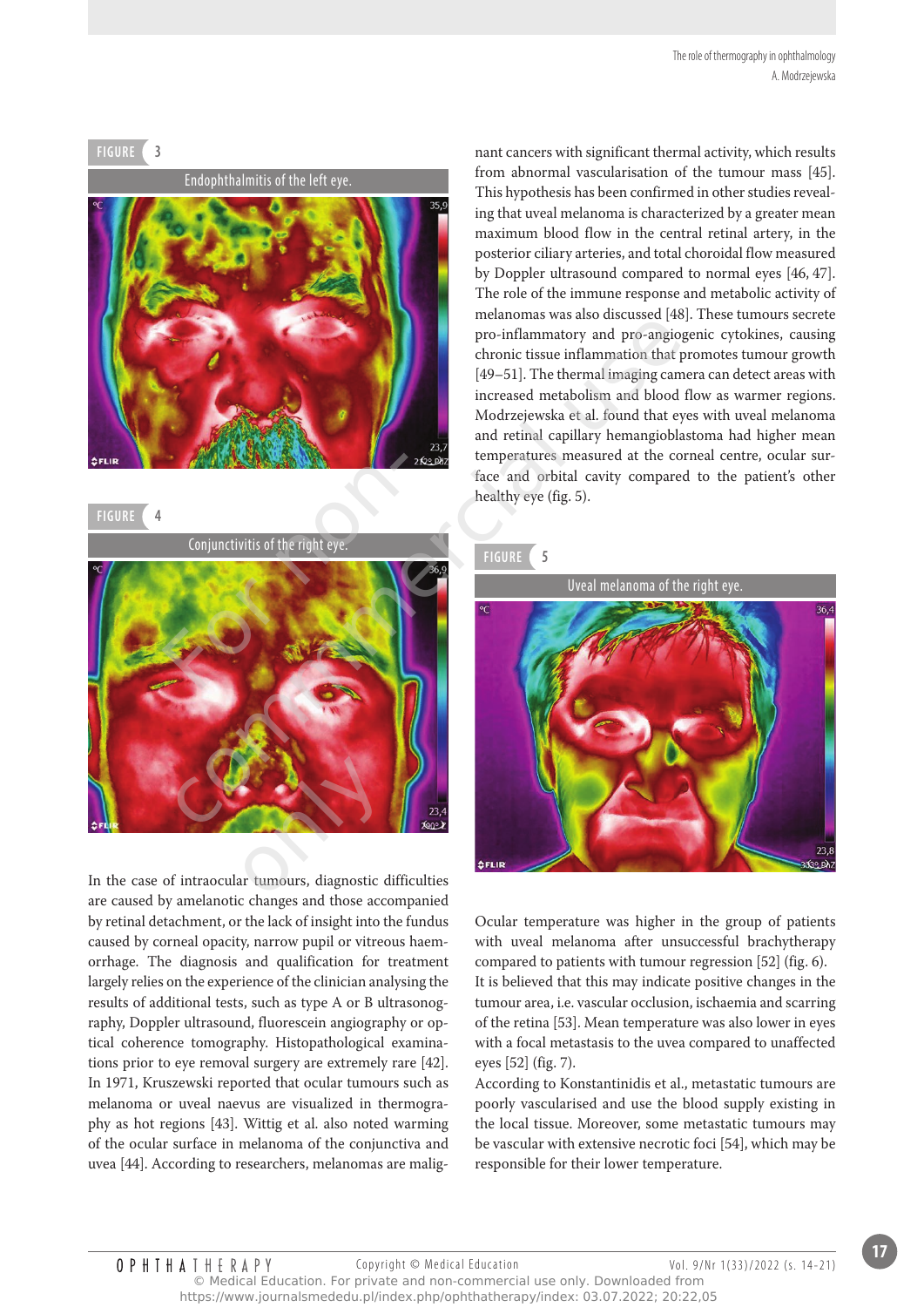# Endophthalmitis of the left eye. **figure 3**

**figure 4**

Conjunctivitis of the right eye.



are caused by amelanotic changes and those accompanied by retinal detachment, or the lack of insight into the fundus caused by corneal opacity, narrow pupil or vitreous haemorrhage. The diagnosis and qualification for treatment largely relies on the experience of the clinician analysing the results of additional tests, such as type A or B ultrasonography, Doppler ultrasound, fluorescein angiography or optical coherence tomography. Histopathological examinations prior to eye removal surgery are extremely rare [42]. In 1971, Kruszewski reported that ocular tumours such as melanoma or uveal naevus are visualized in thermography as hot regions [43]. Wittig et al. also noted warming of the ocular surface in melanoma of the conjunctiva and uvea [44]. According to researchers, melanomas are malignant cancers with significant thermal activity, which results from abnormal vascularisation of the tumour mass [45]. This hypothesis has been confirmed in other studies revealing that uveal melanoma is characterized by a greater mean maximum blood flow in the central retinal artery, in the posterior ciliary arteries, and total choroidal flow measured by Doppler ultrasound compared to normal eyes [46, 47]. The role of the immune response and metabolic activity of melanomas was also discussed [48]. These tumours secrete pro-inflammatory and pro-angiogenic cytokines, causing chronic tissue inflammation that promotes tumour growth [49–51]. The thermal imaging camera can detect areas with increased metabolism and blood flow as warmer regions. Modrzejewska et al. found that eyes with uveal melanoma and retinal capillary hemangioblastoma had higher mean temperatures measured at the corneal centre, ocular surface and orbital cavity compared to the patient's other healthy eye (fig. 5).

#### **figure 5**



Ocular temperature was higher in the group of patients with uveal melanoma after unsuccessful brachytherapy compared to patients with tumour regression [52] (fig. 6). It is believed that this may indicate positive changes in the tumour area, i.e. vascular occlusion, ischaemia and scarring of the retina [53]. Mean temperature was also lower in eyes with a focal metastasis to the uvea compared to unaffected eyes [52] (fig. 7).

According to Konstantinidis et al., metastatic tumours are poorly vascularised and use the blood supply existing in the local tissue. Moreover, some metastatic tumours may be vascular with extensive necrotic foci [54], which may be responsible for their lower temperature.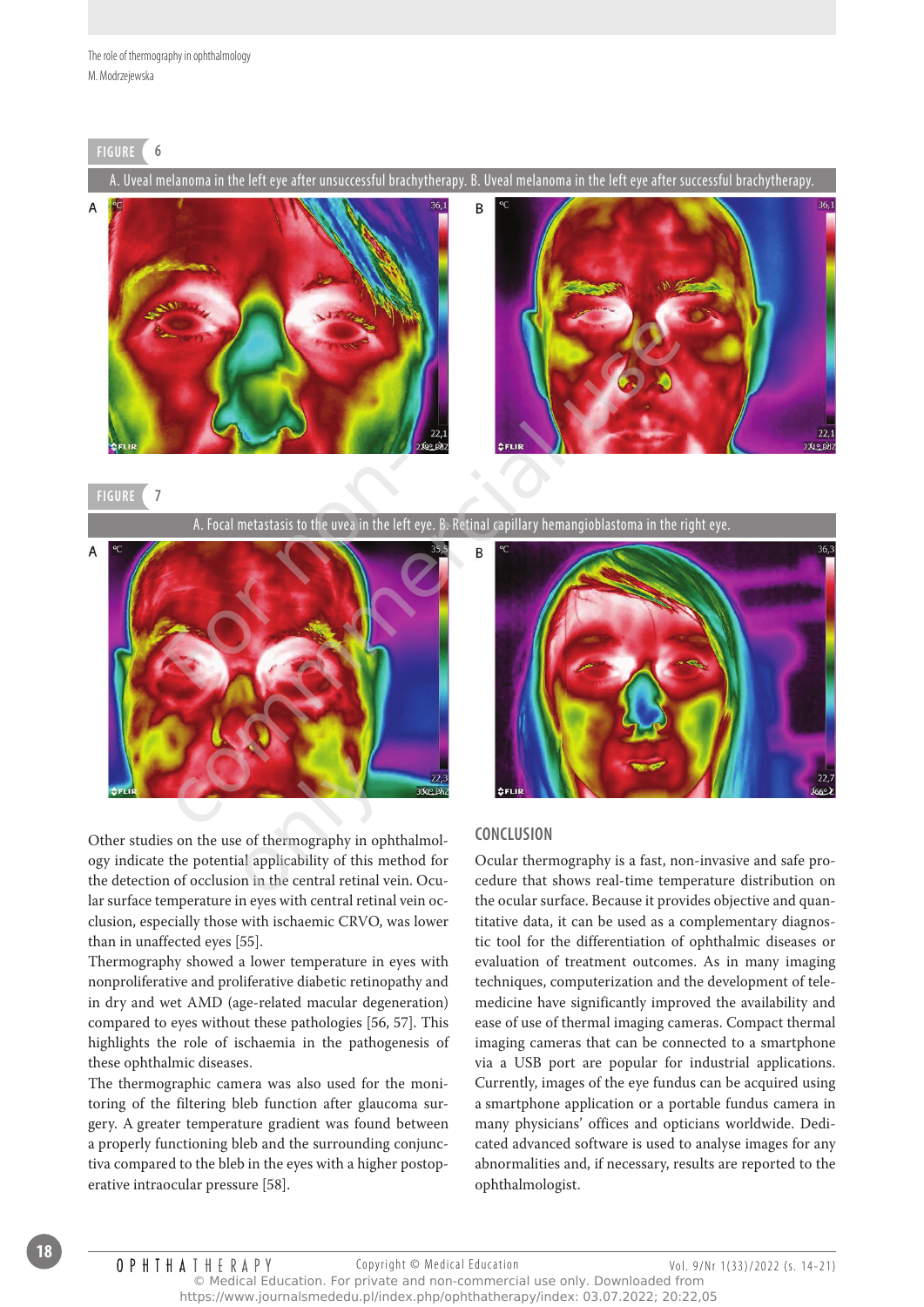#### **figure 6**

A. Uveal melanoma in the left eye after unsuccessful brachytherapy. B. Uveal melanoma in the left eye after successful brachytherapy.





#### **figure 7**

A. Focal metastasis to the uvea in the left eye. B. Retinal capillary hemangioblastoma in the right eye.



Other studies on the use of thermography in ophthalmology indicate the potential applicability of this method for the detection of occlusion in the central retinal vein. Ocular surface temperature in eyes with central retinal vein occlusion, especially those with ischaemic CRVO, was lower than in unaffected eyes [55]. only and the entrangement of the entrangement of this mon in the central retinal v

Thermography showed a lower temperature in eyes with nonproliferative and proliferative diabetic retinopathy and in dry and wet AMD (age-related macular degeneration) compared to eyes without these pathologies [56, 57]. This highlights the role of ischaemia in the pathogenesis of these ophthalmic diseases.

The thermographic camera was also used for the monitoring of the filtering bleb function after glaucoma surgery. A greater temperature gradient was found between a properly functioning bleb and the surrounding conjunctiva compared to the bleb in the eyes with a higher postoperative intraocular pressure [58].



#### **conclusion**

Ocular thermography is a fast, non-invasive and safe procedure that shows real-time temperature distribution on the ocular surface. Because it provides objective and quantitative data, it can be used as a complementary diagnostic tool for the differentiation of ophthalmic diseases or evaluation of treatment outcomes. As in many imaging techniques, computerization and the development of telemedicine have significantly improved the availability and ease of use of thermal imaging cameras. Compact thermal imaging cameras that can be connected to a smartphone via a USB port are popular for industrial applications. Currently, images of the eye fundus can be acquired using a smartphone application or a portable fundus camera in many physicians' offices and opticians worldwide. Dedicated advanced software is used to analyse images for any abnormalities and, if necessary, results are reported to the ophthalmologist.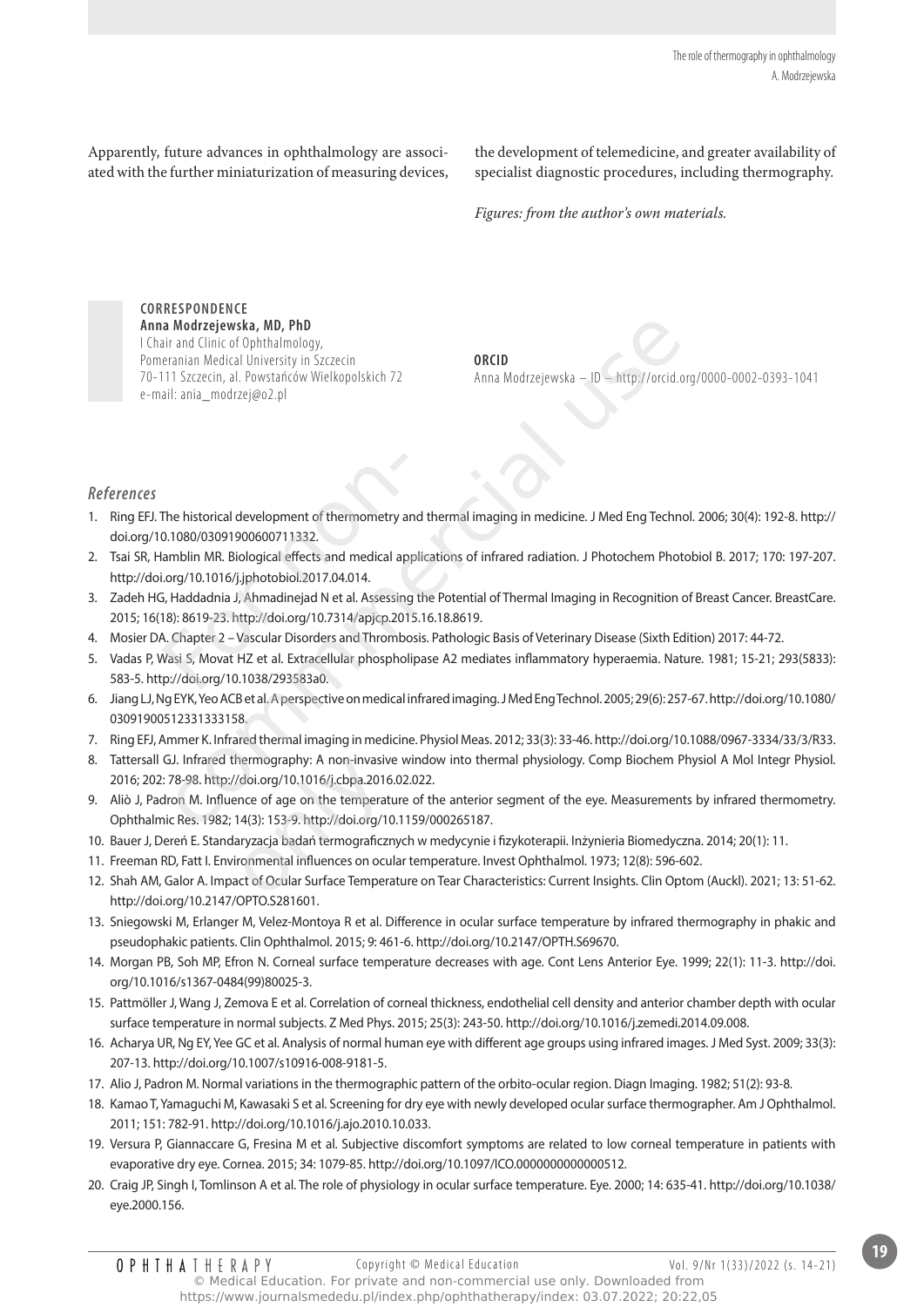Apparently, future advances in ophthalmology are associated with the further miniaturization of measuring devices,

the development of telemedicine, and greater availability of specialist diagnostic procedures, including thermography.

*Figures: from the author's own materials.*

**correspondence Anna Modrzejewska, Md, phd** I Chair and Clinic of Ophthalmology, Pomeranian Medical University in Szczecin 70-111 Szczecin, al. Powstańców Wielkopolskich 72 e-mail: ania\_modrzej@o2.pl Modrzejewska, MD, PhD<br>
anal Mindinology,<br>
analian Medical University in Szczecin<br>
11 Szczecin, al. Powstańców Wielkopolskich 72<br>
2. ania\_modrzej@o2.pl<br>
ana Modrzejewska — JD — http://orcid.org/<br>
ania\_modrzej@o2.pl<br>
ana\_mod

**orcid**  Anna Modrzejewska – ID – http://orcid.org/0000-0002-0393-1041

#### **References**

- 1. Ring EFJ. The historical development of thermometry and thermal imaging in medicine. J Med Eng Technol. 2006; 30(4): 192-8. http:// doi.org/10.1080/03091900600711332.
- 2. Tsai SR, Hamblin MR. Biological effects and medical applications of infrared radiation. J Photochem Photobiol B. 2017; 170: 197-207. http://doi.org/10.1016/j.jphotobiol.2017.04.014.
- 3. Zadeh HG, Haddadnia J, Ahmadinejad N et al. Assessing the Potential of Thermal Imaging in Recognition of Breast Cancer. BreastCare. 2015; 16(18): 8619-23. http://doi.org/10.7314/apjcp.2015.16.18.8619.
- 4. Mosier DA. Chapter 2 Vascular Disorders and Thrombosis. Pathologic Basis of Veterinary Disease (Sixth Edition) 2017: 44-72.
- 5. Vadas P, Wasi S, Movat HZ et al. Extracellular phospholipase A2 mediates inflammatory hyperaemia. Nature. 1981; 15-21; 293(5833): 583-5. http://doi.org/10.1038/293583a0. The historical development of thermometry a<br>0.1080/03091900600711332.<br>lamblin MR. Biological effects and medical ap<br>i.org/10.1016/j.jphotobiol.2017.04.014.<br>5, Haddadnia J, Ahmadinejad N et al. Assessine<br>18): 8619-23. http:
- 6. Jiang LJ, Ng EYK, Yeo ACB et al. A perspective on medical infrared imaging. J Med Eng Technol. 2005; 29(6): 257-67. http://doi.org/10.1080/ 03091900512331333158.
- 7. Ring EFJ, Ammer K. Infrared thermal imaging in medicine. Physiol Meas. 2012; 33(3): 33-46. http://doi.org/10.1088/0967-3334/33/3/R33.
- 8. Tattersall GJ. Infrared thermography: A non-invasive window into thermal physiology. Comp Biochem Physiol A Mol Integr Physiol. 2016; 202: 78-98. http://doi.org/10.1016/j.cbpa.2016.02.022.
- 9. Aliò J, Padron M. Influence of age on the temperature of the anterior segment of the eye. Measurements by infrared thermometry. Ophthalmic Res. 1982; 14(3): 153-9. http://doi.org/10.1159/000265187. 12. Shah AM, Galor A. Impact of Ocular Surface Temperature on Tear Characteristics: Current Insights. Clin Optom (Auckl). 2021; 13: 51-62.<br>
12. Shah AM, Impact of age on the temperature of the anterior segment of the eye.
- 10. Bauer J, Dereń E. Standaryzacja badań termograficznych w medycynie i fizykoterapii. Inżynieria Biomedyczna. 2014; 20(1): 11.
- 11. Freeman RD, Fatt I. Environmental influences on ocular temperature. Invest Ophthalmol. 1973; 12(8): 596-602.
- http://doi.org/10.2147/OPTO.S281601.
- 13. Sniegowski M, Erlanger M, Velez-Montoya R et al. Difference in ocular surface temperature by infrared thermography in phakic and pseudophakic patients. Clin Ophthalmol. 2015; 9: 461-6. http://doi.org/10.2147/OPTH.S69670.
- 14. Morgan PB, Soh MP, Efron N. Corneal surface temperature decreases with age. Cont Lens Anterior Eye. 1999; 22(1): 11-3. http://doi. org/10.1016/s1367-0484(99)80025-3.
- 15. Pattmöller J, Wang J, Zemova E et al. Correlation of corneal thickness, endothelial cell density and anterior chamber depth with ocular surface temperature in normal subjects. Z Med Phys. 2015; 25(3): 243-50. http://doi.org/10.1016/j.zemedi.2014.09.008.
- 16. Acharya UR, Ng EY, Yee GC et al. Analysis of normal human eye with different age groups using infrared images. J Med Syst. 2009; 33(3): 207-13. http://doi.org/10.1007/s10916-008-9181-5.
- 17. Alio J, Padron M. Normal variations in the thermographic pattern of the orbito-ocular region. Diagn Imaging. 1982; 51(2): 93-8.
- 18. Kamao T, Yamaguchi M, Kawasaki S et al. Screening for dry eye with newly developed ocular surface thermographer. Am J Ophthalmol. 2011; 151: 782-91. http://doi.org/10.1016/j.ajo.2010.10.033.
- 19. Versura P, Giannaccare G, Fresina M et al. Subjective discomfort symptoms are related to low corneal temperature in patients with evaporative dry eye. Cornea. 2015; 34: 1079-85. http://doi.org/10.1097/ICO.0000000000000512.
- 20. Craig JP, Singh I, Tomlinson A et al. The role of physiology in ocular surface temperature. Eye. 2000; 14: 635-41. http://doi.org/10.1038/ eye.2000.156.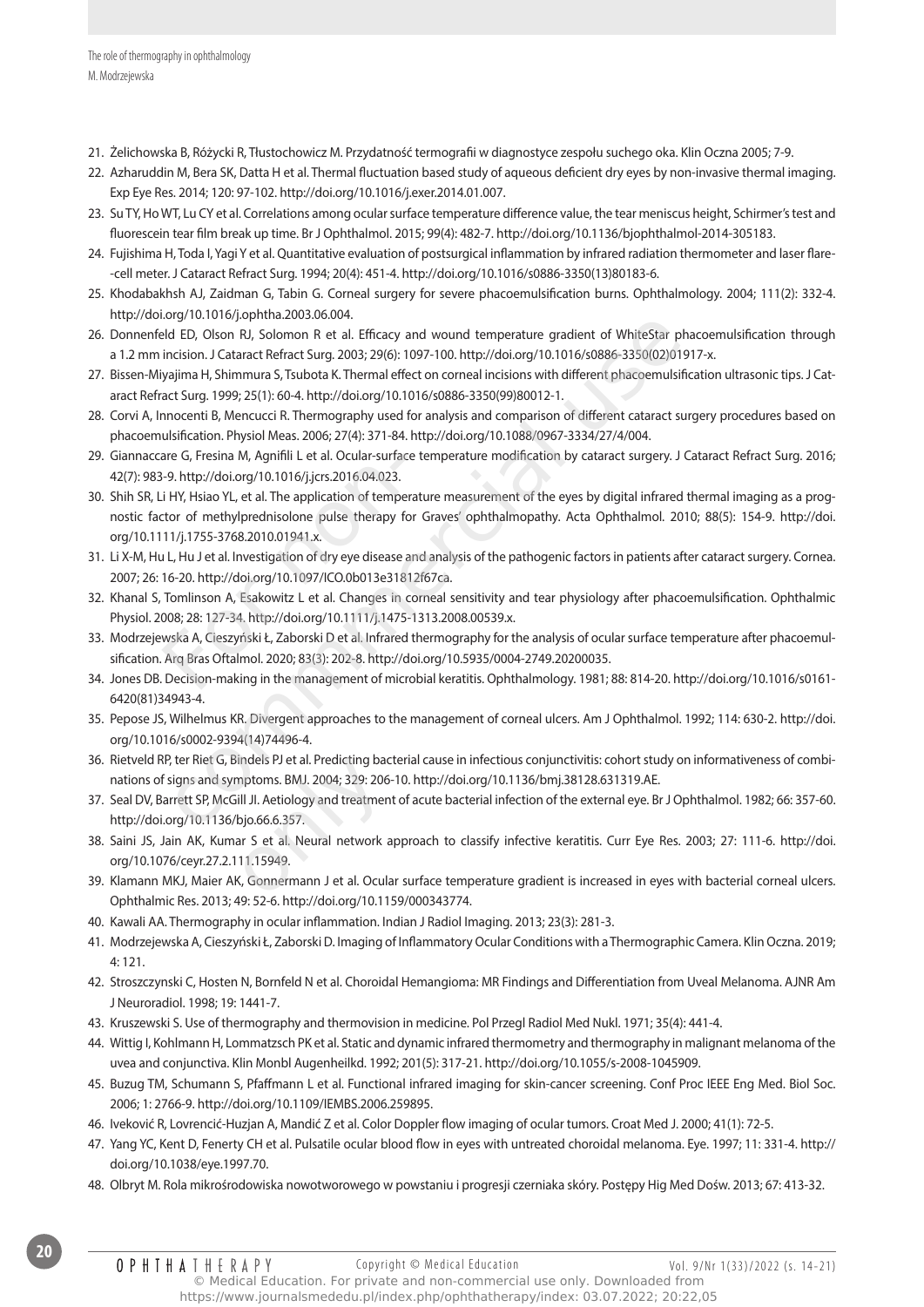- 21. Żelichowska B, Różycki R, Tłustochowicz M. Przydatność termografii w diagnostyce zespołu suchego oka. Klin Oczna 2005; 7-9.
- 22. Azharuddin M, Bera SK, Datta H et al. Thermal fluctuation based study of aqueous deficient dry eyes by non-invasive thermal imaging. Exp Eye Res. 2014; 120: 97-102. http://doi.org/10.1016/j.exer.2014.01.007.
- 23. Su TY, Ho WT, Lu CY et al. Correlations among ocular surface temperature difference value, the tear meniscus height, Schirmer's test and fluorescein tear film break up time. Br J Ophthalmol. 2015; 99(4): 482-7. http://doi.org/10.1136/bjophthalmol-2014-305183.
- 24. Fujishima H, Toda I, Yagi Y et al. Quantitative evaluation of postsurgical inflammation by infrared radiation thermometer and laser flare- -cell meter. J Cataract Refract Surg. 1994; 20(4): 451-4. http://doi.org/10.1016/s0886-3350(13)80183-6.
- 25. Khodabakhsh AJ, Zaidman G, Tabin G. Corneal surgery for severe phacoemulsification burns. Ophthalmology. 2004; 111(2): 332-4. http://doi.org/10.1016/j.ophtha.2003.06.004.
- 26. Donnenfeld ED, Olson RJ, Solomon R et al. Efficacy and wound temperature gradient of WhiteStar phacoemulsification through a 1.2 mm incision. J Cataract Refract Surg. 2003; 29(6): 1097-100. http://doi.org/10.1016/s0886-3350(02)01917-x.
- 27. Bissen-Miyajima H, Shimmura S, Tsubota K. Thermal effect on corneal incisions with different phacoemulsification ultrasonic tips. J Cataract Refract Surg. 1999; 25(1): 60-4. http://doi.org/10.1016/s0886-3350(99)80012-1.
- 28. Corvi A, Innocenti B, Mencucci R. Thermography used for analysis and comparison of different cataract surgery procedures based on phacoemulsification. Physiol Meas. 2006; 27(4): 371-84. http://doi.org/10.1088/0967-3334/27/4/004.
- 29. Giannaccare G, Fresina M, Agnifili L et al. Ocular-surface temperature modification by cataract surgery. J Cataract Refract Surg. 2016; 42(7): 983-9. http://doi.org/10.1016/j.jcrs.2016.04.023.
- 30. Shih SR, Li HY, Hsiao YL, et al. The application of temperature measurement of the eyes by digital infrared thermal imaging as a prognostic factor of methylprednisolone pulse therapy for Graves' ophthalmopathy. Acta Ophthalmol. 2010; 88(5): 154-9. http://doi. org/10.1111/j.1755-3768.2010.01941.x. are G, Fresina M, Agnifili L et al. Ocular-surface-9. http://doi.org/10.1016/j.jcrs.2016.04.023.<br>
For interaction of temperator of methylprednisolone pulse therapy for 11/j.1755-3768.2010.01941.x.<br>
L, Hu J et al. Investiga commmercial use
- 31. Li X-M, Hu L, Hu J et al. Investigation of dry eye disease and analysis of the pathogenic factors in patients after cataract surgery. Cornea. 2007; 26: 16-20. http://doi.org/10.1097/ICO.0b013e31812f67ca.
- 32. Khanal S, Tomlinson A, Esakowitz L et al. Changes in corneal sensitivity and tear physiology after phacoemulsification. Ophthalmic Physiol. 2008; 28: 127-34. http://doi.org/10.1111/j.1475-1313.2008.00539.x.
- 33. Modrzejewska A, Cieszyński Ł, Zaborski D et al. Infrared thermography for the analysis of ocular surface temperature after phacoemulsification. Arq Bras Oftalmol. 2020; 83(3): 202-8. http://doi.org/10.5935/0004-2749.20200035.
- 34. Jones DB. Decision-making in the management of microbial keratitis. Ophthalmology. 1981; 88: 814-20. http://doi.org/10.1016/s0161- 6420(81)34943-4.
- 35. Pepose JS, Wilhelmus KR. Divergent approaches to the management of corneal ulcers. Am J Ophthalmol. 1992; 114: 630-2. http://doi. org/10.1016/s0002-9394(14)74496-4.
- 36. Rietveld RP, ter Riet G, Bindels PJ et al. Predicting bacterial cause in infectious conjunctivitis: cohort study on informativeness of combinations of signs and symptoms. BMJ. 2004; 329: 206-10. http://doi.org/10.1136/bmj.38128.631319.AE.
- 37. Seal DV, Barrett SP, McGill JI. Aetiology and treatment of acute bacterial infection of the external eye. Br J Ophthalmol. 1982; 66: 357-60. http://doi.org/10.1136/bjo.66.6.357. 36. Rietveld RP, ter Riet G, Bindels PJ et al. Predicting bacterial cause in infectious conjunctivitis: cohort study on informativeness of combinations of signs and symptoms. BMJ. 2004; 329: 206-10. http://doi.org/10.1136/
- 38. Saini JS, Jain AK, Kumar S et al. Neural network approach to classify infective keratitis. Curr Eye Res. 2003; 27: 111-6. http://doi. org/10.1076/ceyr.27.2.111.15949.
- Ophthalmic Res. 2013; 49: 52-6. http://doi.org/10.1159/000343774.
- 40. Kawali AA. Thermography in ocular inflammation. Indian J Radiol Imaging. 2013; 23(3): 281-3.
- 41. Modrzejewska A, Cieszyński Ł, Zaborski D. Imaging of Inflammatory Ocular Conditions with a Thermographic Camera. Klin Oczna. 2019; 4: 121.
- 42. Stroszczynski C, Hosten N, Bornfeld N et al. Choroidal Hemangioma: MR Findings and Differentiation from Uveal Melanoma. AJNR Am J Neuroradiol. 1998; 19: 1441-7.
- 43. Kruszewski S. Use of thermography and thermovision in medicine. Pol Przegl Radiol Med Nukl. 1971; 35(4): 441-4.
- 44. Wittig I, Kohlmann H, Lommatzsch PK et al. Static and dynamic infrared thermometry and thermography in malignant melanoma of the uvea and conjunctiva. Klin Monbl Augenheilkd. 1992; 201(5): 317-21. http://doi.org/10.1055/s-2008-1045909.
- 45. Buzug TM, Schumann S, Pfaffmann L et al. Functional infrared imaging for skin-cancer screening. Conf Proc IEEE Eng Med. Biol Soc. 2006; 1: 2766-9. http://doi.org/10.1109/IEMBS.2006.259895.
- 46. Iveković R, Lovrencić-Huzjan A, Mandić Z et al. Color Doppler flow imaging of ocular tumors. Croat Med J. 2000; 41(1): 72-5.
- 47. Yang YC, Kent D, Fenerty CH et al. Pulsatile ocular blood flow in eyes with untreated choroidal melanoma. Eye. 1997; 11: 331-4. http:// doi.org/10.1038/eye.1997.70.
- 48. Olbryt M. Rola mikrośrodowiska nowotworowego w powstaniu i progresji czerniaka skóry. Postępy Hig Med Dośw. 2013; 67: 413-32.